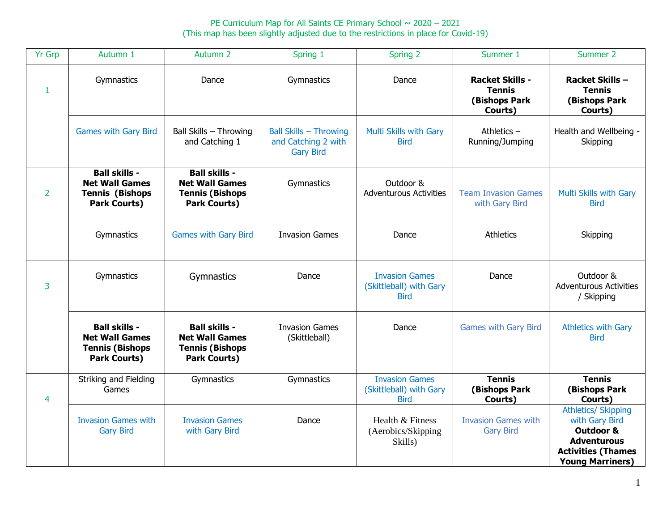PE Curriculum Map for All Saints CE Primary School  $\sim 2020 - 2021$ (This map has been slightly adjusted due to the restrictions in place for Covid-19)

| <b>Yr Grp</b>  | Autumn 1                                                                                       | Autumn 2                                                                                       | Spring 1                                                                 | Spring 2                                                        | Summer 1                                                                   | Summer 2                                                                                                                                           |
|----------------|------------------------------------------------------------------------------------------------|------------------------------------------------------------------------------------------------|--------------------------------------------------------------------------|-----------------------------------------------------------------|----------------------------------------------------------------------------|----------------------------------------------------------------------------------------------------------------------------------------------------|
| $\mathbf{1}$   | Gymnastics                                                                                     | Dance                                                                                          | Gymnastics                                                               | Dance                                                           | <b>Racket Skills -</b><br><b>Tennis</b><br><b>(Bishops Park</b><br>Courts) | Racket Skills-<br><b>Tennis</b><br>(Bishops Park<br>Courts)                                                                                        |
|                | <b>Games with Gary Bird</b>                                                                    | Ball Skills - Throwing<br>and Catching 1                                                       | <b>Ball Skills - Throwing</b><br>and Catching 2 with<br><b>Gary Bird</b> | Multi Skills with Gary<br><b>Bird</b>                           | Athletics $-$<br>Running/Jumping                                           | Health and Wellbeing -<br>Skipping                                                                                                                 |
| 2              | <b>Ball skills -</b><br><b>Net Wall Games</b><br><b>Tennis (Bishops</b><br><b>Park Courts)</b> | <b>Ball skills -</b><br><b>Net Wall Games</b><br><b>Tennis (Bishops</b><br><b>Park Courts)</b> | Gymnastics                                                               | Outdoor &<br><b>Adventurous Activities</b>                      | <b>Team Invasion Games</b><br>with Gary Bird                               | Multi Skills with Gary<br><b>Bird</b>                                                                                                              |
|                | Gymnastics                                                                                     | <b>Games with Gary Bird</b>                                                                    | <b>Invasion Games</b>                                                    | Dance                                                           | <b>Athletics</b>                                                           | Skipping                                                                                                                                           |
| 3              | Gymnastics                                                                                     | Gymnastics                                                                                     | Dance                                                                    | <b>Invasion Games</b><br>(Skittleball) with Gary<br><b>Bird</b> | Dance                                                                      | Outdoor &<br><b>Adventurous Activities</b><br>/ Skipping                                                                                           |
|                | <b>Ball skills -</b><br><b>Net Wall Games</b><br><b>Tennis (Bishops</b><br><b>Park Courts)</b> | <b>Ball skills -</b><br><b>Net Wall Games</b><br><b>Tennis (Bishops</b><br><b>Park Courts)</b> | <b>Invasion Games</b><br>(Skittleball)                                   | Dance                                                           | <b>Games with Gary Bird</b>                                                | <b>Athletics with Gary</b><br><b>Bird</b>                                                                                                          |
| $\overline{4}$ | Striking and Fielding<br>Games                                                                 | Gymnastics                                                                                     | Gymnastics                                                               | <b>Invasion Games</b><br>(Skittleball) with Gary<br><b>Bird</b> | <b>Tennis</b><br>(Bishops Park<br>Courts)                                  | <b>Tennis</b><br>(Bishops Park<br>Courts)                                                                                                          |
|                | <b>Invasion Games with</b><br><b>Gary Bird</b>                                                 | <b>Invasion Games</b><br>with Gary Bird                                                        | Dance                                                                    | Health & Fitness<br>(Aerobics/Skipping<br>Skills)               | <b>Invasion Games with</b><br><b>Gary Bird</b>                             | <b>Athletics/ Skipping</b><br>with Gary Bird<br><b>Outdoor &amp;</b><br><b>Adventurous</b><br><b>Activities (Thames</b><br><b>Young Marriners)</b> |